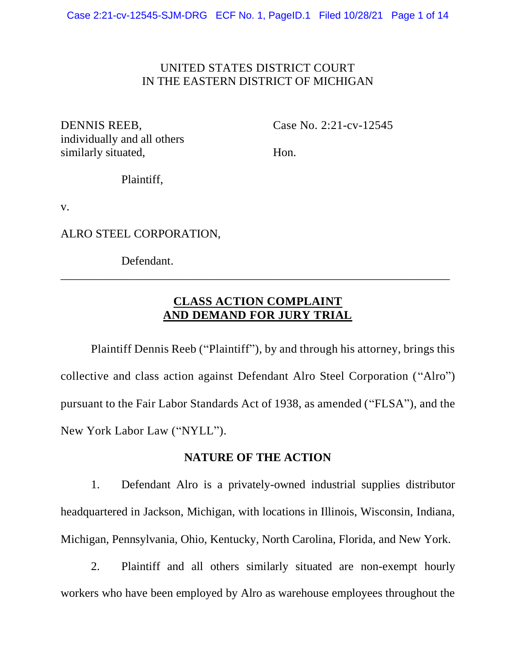## UNITED STATES DISTRICT COURT IN THE EASTERN DISTRICT OF MICHIGAN

individually and all others similarly situated, Hon.

DENNIS REEB, Case No. 2:21-cv-12545

Plaintiff,

v.

ALRO STEEL CORPORATION,

Defendant.

# **CLASS ACTION COMPLAINT AND DEMAND FOR JURY TRIAL**

\_\_\_\_\_\_\_\_\_\_\_\_\_\_\_\_\_\_\_\_\_\_\_\_\_\_\_\_\_\_\_\_\_\_\_\_\_\_\_\_\_\_\_\_\_\_\_\_\_\_\_\_\_\_\_\_\_\_\_\_\_\_\_\_\_\_

Plaintiff Dennis Reeb ("Plaintiff"), by and through his attorney, brings this collective and class action against Defendant Alro Steel Corporation ("Alro") pursuant to the Fair Labor Standards Act of 1938, as amended ("FLSA"), and the New York Labor Law ("NYLL").

## **NATURE OF THE ACTION**

1. Defendant Alro is a privately-owned industrial supplies distributor headquartered in Jackson, Michigan, with locations in Illinois, Wisconsin, Indiana, Michigan, Pennsylvania, Ohio, Kentucky, North Carolina, Florida, and New York.

2. Plaintiff and all others similarly situated are non-exempt hourly workers who have been employed by Alro as warehouse employees throughout the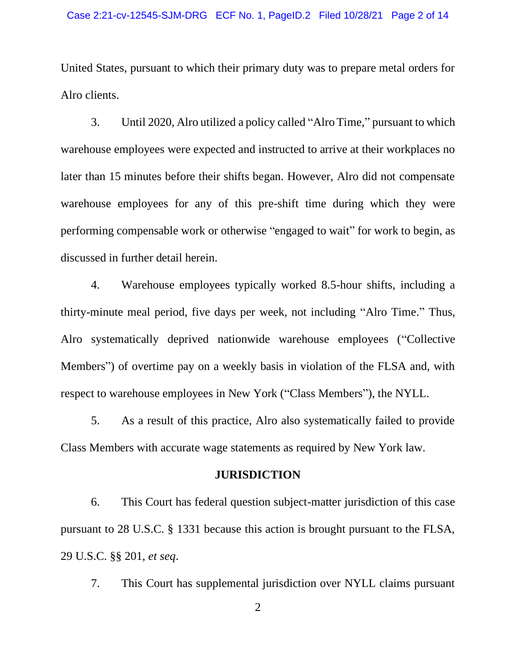United States, pursuant to which their primary duty was to prepare metal orders for Alro clients.

3. Until 2020, Alro utilized a policy called "Alro Time," pursuant to which warehouse employees were expected and instructed to arrive at their workplaces no later than 15 minutes before their shifts began. However, Alro did not compensate warehouse employees for any of this pre-shift time during which they were performing compensable work or otherwise "engaged to wait" for work to begin, as discussed in further detail herein.

4. Warehouse employees typically worked 8.5-hour shifts, including a thirty-minute meal period, five days per week, not including "Alro Time." Thus, Alro systematically deprived nationwide warehouse employees ("Collective Members") of overtime pay on a weekly basis in violation of the FLSA and, with respect to warehouse employees in New York ("Class Members"), the NYLL.

5. As a result of this practice, Alro also systematically failed to provide Class Members with accurate wage statements as required by New York law.

### **JURISDICTION**

6. This Court has federal question subject-matter jurisdiction of this case pursuant to 28 U.S.C. § 1331 because this action is brought pursuant to the FLSA, 29 U.S.C. §§ 201, *et seq*.

7. This Court has supplemental jurisdiction over NYLL claims pursuant

2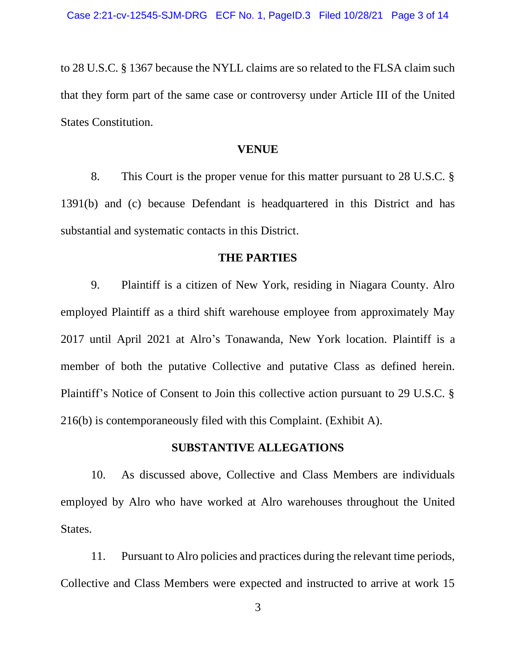to 28 U.S.C. § 1367 because the NYLL claims are so related to the FLSA claim such that they form part of the same case or controversy under Article III of the United States Constitution.

#### **VENUE**

8. This Court is the proper venue for this matter pursuant to 28 U.S.C. § 1391(b) and (c) because Defendant is headquartered in this District and has substantial and systematic contacts in this District.

### **THE PARTIES**

9. Plaintiff is a citizen of New York, residing in Niagara County. Alro employed Plaintiff as a third shift warehouse employee from approximately May 2017 until April 2021 at Alro's Tonawanda, New York location. Plaintiff is a member of both the putative Collective and putative Class as defined herein. Plaintiff's Notice of Consent to Join this collective action pursuant to 29 U.S.C. § 216(b) is contemporaneously filed with this Complaint. (Exhibit A).

#### **SUBSTANTIVE ALLEGATIONS**

10. As discussed above, Collective and Class Members are individuals employed by Alro who have worked at Alro warehouses throughout the United States.

11. Pursuant to Alro policies and practices during the relevant time periods, Collective and Class Members were expected and instructed to arrive at work 15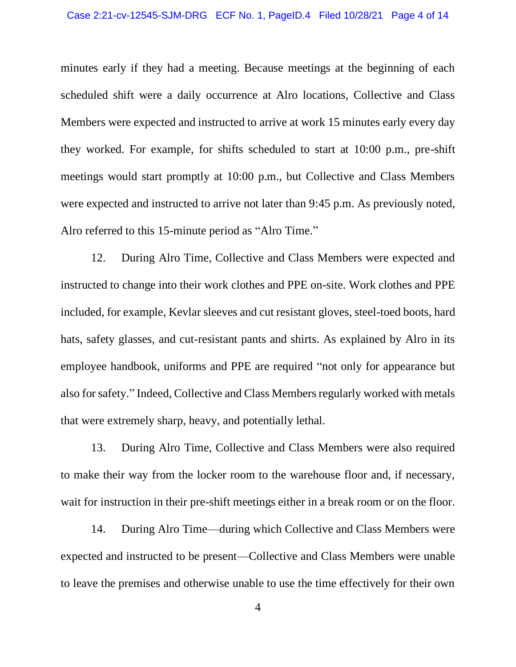minutes early if they had a meeting. Because meetings at the beginning of each scheduled shift were a daily occurrence at Alro locations, Collective and Class Members were expected and instructed to arrive at work 15 minutes early every day they worked. For example, for shifts scheduled to start at 10:00 p.m., pre-shift meetings would start promptly at 10:00 p.m., but Collective and Class Members were expected and instructed to arrive not later than 9:45 p.m. As previously noted, Alro referred to this 15-minute period as "Alro Time."

12. During Alro Time, Collective and Class Members were expected and instructed to change into their work clothes and PPE on-site. Work clothes and PPE included, for example, Kevlar sleeves and cut resistant gloves, steel-toed boots, hard hats, safety glasses, and cut-resistant pants and shirts. As explained by Alro in its employee handbook, uniforms and PPE are required "not only for appearance but also for safety." Indeed, Collective and Class Members regularly worked with metals that were extremely sharp, heavy, and potentially lethal.

13. During Alro Time, Collective and Class Members were also required to make their way from the locker room to the warehouse floor and, if necessary, wait for instruction in their pre-shift meetings either in a break room or on the floor.

14. During Alro Time—during which Collective and Class Members were expected and instructed to be present—Collective and Class Members were unable to leave the premises and otherwise unable to use the time effectively for their own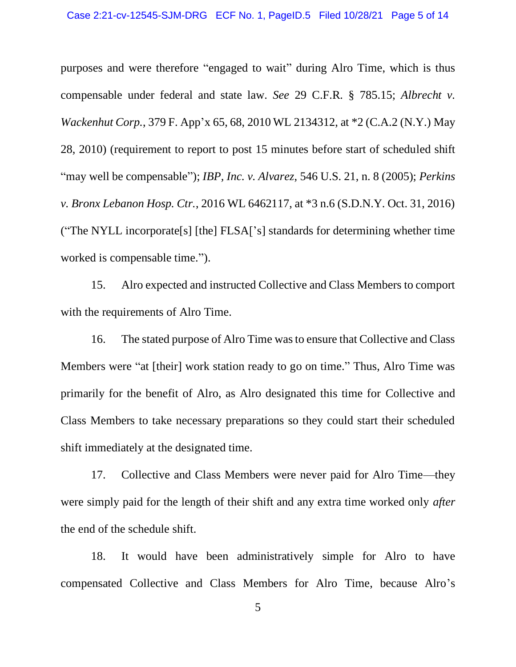purposes and were therefore "engaged to wait" during Alro Time, which is thus compensable under federal and state law. *See* 29 C.F.R. § 785.15; *Albrecht v. Wackenhut Corp.*, 379 F. App'x 65, 68, 2010 WL 2134312, at \*2 (C.A.2 (N.Y.) May 28, 2010) (requirement to report to post 15 minutes before start of scheduled shift "may well be compensable"); *IBP, Inc. v. Alvarez*, 546 U.S. 21, n. 8 (2005); *Perkins v. Bronx Lebanon Hosp. Ctr.*, 2016 WL 6462117, at \*3 n.6 (S.D.N.Y. Oct. 31, 2016) ("The NYLL incorporate[s] [the] FLSA['s] standards for determining whether time worked is compensable time.").

15. Alro expected and instructed Collective and Class Members to comport with the requirements of Alro Time.

16. The stated purpose of Alro Time was to ensure that Collective and Class Members were "at [their] work station ready to go on time." Thus, Alro Time was primarily for the benefit of Alro, as Alro designated this time for Collective and Class Members to take necessary preparations so they could start their scheduled shift immediately at the designated time.

17. Collective and Class Members were never paid for Alro Time—they were simply paid for the length of their shift and any extra time worked only *after* the end of the schedule shift.

18. It would have been administratively simple for Alro to have compensated Collective and Class Members for Alro Time, because Alro's

5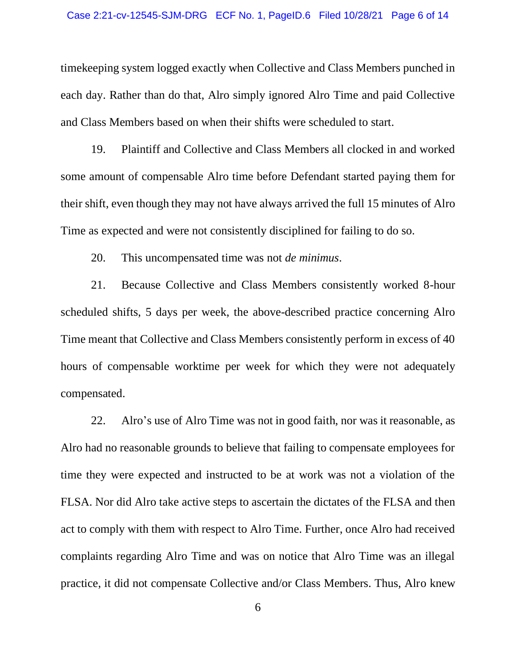timekeeping system logged exactly when Collective and Class Members punched in each day. Rather than do that, Alro simply ignored Alro Time and paid Collective and Class Members based on when their shifts were scheduled to start.

19. Plaintiff and Collective and Class Members all clocked in and worked some amount of compensable Alro time before Defendant started paying them for their shift, even though they may not have always arrived the full 15 minutes of Alro Time as expected and were not consistently disciplined for failing to do so.

20. This uncompensated time was not *de minimus*.

21. Because Collective and Class Members consistently worked 8-hour scheduled shifts, 5 days per week, the above-described practice concerning Alro Time meant that Collective and Class Members consistently perform in excess of 40 hours of compensable worktime per week for which they were not adequately compensated.

22. Alro's use of Alro Time was not in good faith, nor was it reasonable, as Alro had no reasonable grounds to believe that failing to compensate employees for time they were expected and instructed to be at work was not a violation of the FLSA. Nor did Alro take active steps to ascertain the dictates of the FLSA and then act to comply with them with respect to Alro Time. Further, once Alro had received complaints regarding Alro Time and was on notice that Alro Time was an illegal practice, it did not compensate Collective and/or Class Members. Thus, Alro knew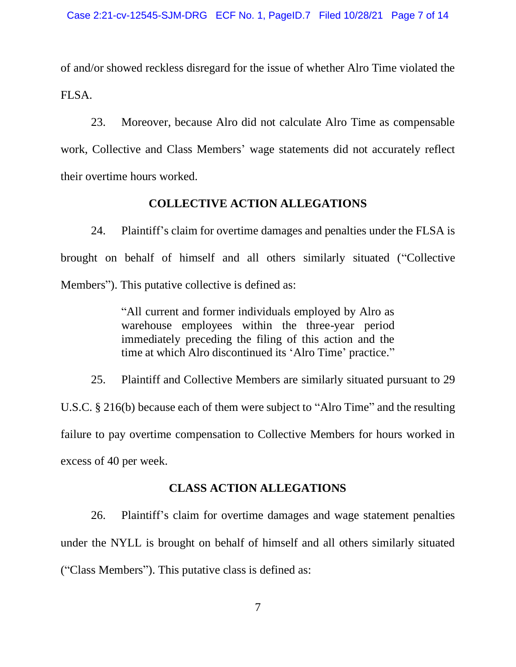of and/or showed reckless disregard for the issue of whether Alro Time violated the FLSA.

23. Moreover, because Alro did not calculate Alro Time as compensable work, Collective and Class Members' wage statements did not accurately reflect their overtime hours worked.

### **COLLECTIVE ACTION ALLEGATIONS**

24. Plaintiff's claim for overtime damages and penalties under the FLSA is brought on behalf of himself and all others similarly situated ("Collective Members"). This putative collective is defined as:

> "All current and former individuals employed by Alro as warehouse employees within the three-year period immediately preceding the filing of this action and the time at which Alro discontinued its 'Alro Time' practice."

25. Plaintiff and Collective Members are similarly situated pursuant to 29 U.S.C. § 216(b) because each of them were subject to "Alro Time" and the resulting failure to pay overtime compensation to Collective Members for hours worked in excess of 40 per week.

## **CLASS ACTION ALLEGATIONS**

26. Plaintiff's claim for overtime damages and wage statement penalties under the NYLL is brought on behalf of himself and all others similarly situated ("Class Members"). This putative class is defined as: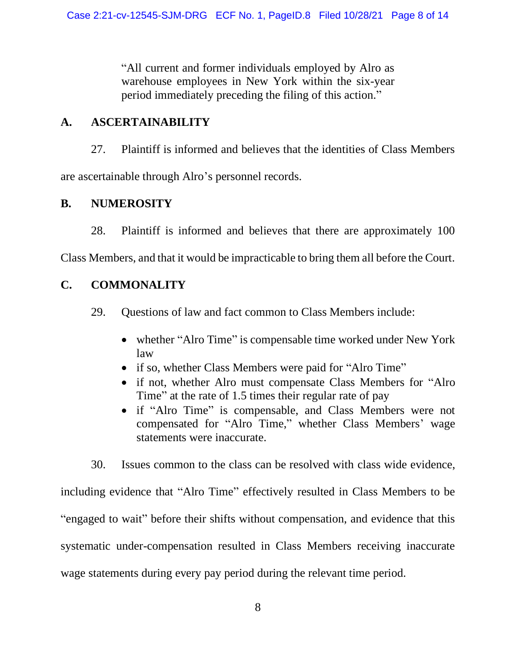"All current and former individuals employed by Alro as warehouse employees in New York within the six-year period immediately preceding the filing of this action."

# **A. ASCERTAINABILITY**

27. Plaintiff is informed and believes that the identities of Class Members are ascertainable through Alro's personnel records.

# **B. NUMEROSITY**

28. Plaintiff is informed and believes that there are approximately 100

Class Members, and that it would be impracticable to bring them all before the Court.

# **C. COMMONALITY**

- 29. Questions of law and fact common to Class Members include:
	- whether "Alro Time" is compensable time worked under New York law
	- if so, whether Class Members were paid for "Alro Time"
	- if not, whether Alro must compensate Class Members for "Alro Time" at the rate of 1.5 times their regular rate of pay
	- if "Alro Time" is compensable, and Class Members were not compensated for "Alro Time," whether Class Members' wage statements were inaccurate.

30. Issues common to the class can be resolved with class wide evidence, including evidence that "Alro Time" effectively resulted in Class Members to be "engaged to wait" before their shifts without compensation, and evidence that this systematic under-compensation resulted in Class Members receiving inaccurate wage statements during every pay period during the relevant time period.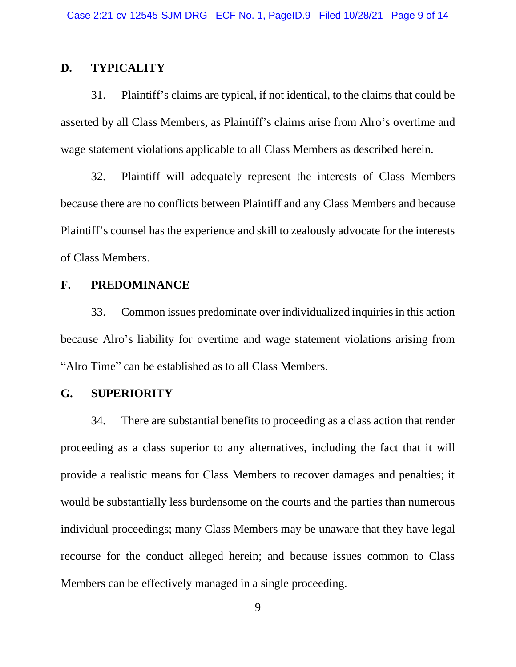## **D. TYPICALITY**

31. Plaintiff's claims are typical, if not identical, to the claims that could be asserted by all Class Members, as Plaintiff's claims arise from Alro's overtime and wage statement violations applicable to all Class Members as described herein.

32. Plaintiff will adequately represent the interests of Class Members because there are no conflicts between Plaintiff and any Class Members and because Plaintiff's counsel has the experience and skill to zealously advocate for the interests of Class Members.

## **F. PREDOMINANCE**

33. Common issues predominate over individualized inquiries in this action because Alro's liability for overtime and wage statement violations arising from "Alro Time" can be established as to all Class Members.

## **G. SUPERIORITY**

34. There are substantial benefits to proceeding as a class action that render proceeding as a class superior to any alternatives, including the fact that it will provide a realistic means for Class Members to recover damages and penalties; it would be substantially less burdensome on the courts and the parties than numerous individual proceedings; many Class Members may be unaware that they have legal recourse for the conduct alleged herein; and because issues common to Class Members can be effectively managed in a single proceeding.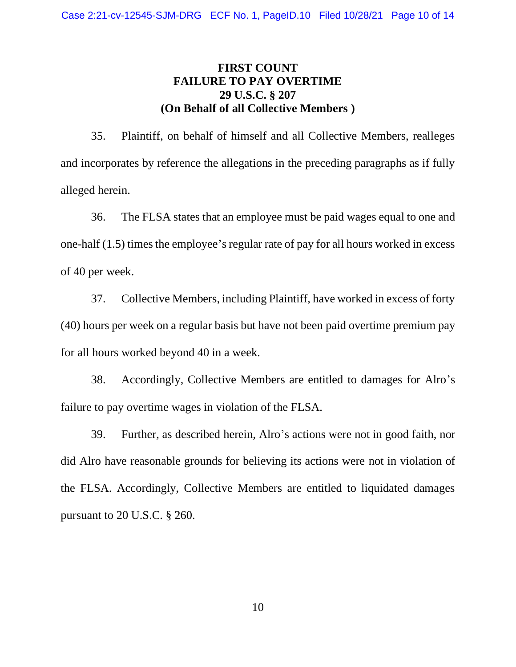# **FIRST COUNT FAILURE TO PAY OVERTIME 29 U.S.C. § 207 (On Behalf of all Collective Members )**

35. Plaintiff, on behalf of himself and all Collective Members, realleges and incorporates by reference the allegations in the preceding paragraphs as if fully alleged herein.

36. The FLSA states that an employee must be paid wages equal to one and one-half (1.5) times the employee's regular rate of pay for all hours worked in excess of 40 per week.

37. Collective Members, including Plaintiff, have worked in excess of forty (40) hours per week on a regular basis but have not been paid overtime premium pay for all hours worked beyond 40 in a week.

38. Accordingly, Collective Members are entitled to damages for Alro's failure to pay overtime wages in violation of the FLSA.

39. Further, as described herein, Alro's actions were not in good faith, nor did Alro have reasonable grounds for believing its actions were not in violation of the FLSA. Accordingly, Collective Members are entitled to liquidated damages pursuant to 20 U.S.C. § 260.

10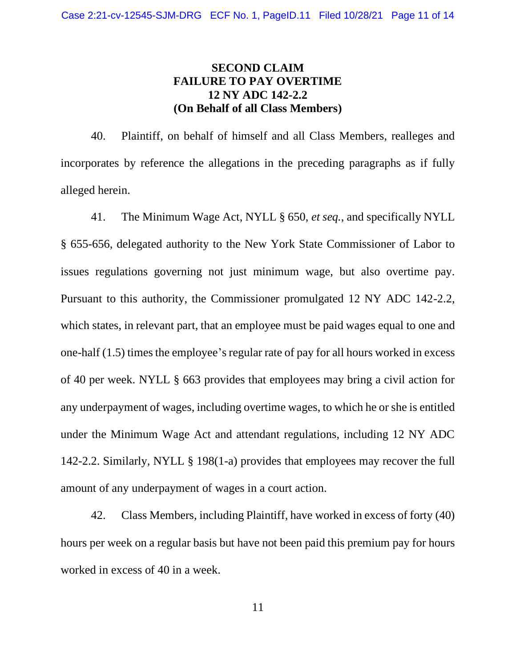# **SECOND CLAIM FAILURE TO PAY OVERTIME 12 NY ADC 142-2.2 (On Behalf of all Class Members)**

40. Plaintiff, on behalf of himself and all Class Members, realleges and incorporates by reference the allegations in the preceding paragraphs as if fully alleged herein.

41. The Minimum Wage Act, NYLL § 650, *et seq.*, and specifically NYLL § 655-656, delegated authority to the New York State Commissioner of Labor to issues regulations governing not just minimum wage, but also overtime pay. Pursuant to this authority, the Commissioner promulgated 12 NY ADC 142-2.2, which states, in relevant part, that an employee must be paid wages equal to one and one-half (1.5) times the employee's regular rate of pay for all hours worked in excess of 40 per week. NYLL § 663 provides that employees may bring a civil action for any underpayment of wages, including overtime wages, to which he or she is entitled under the Minimum Wage Act and attendant regulations, including 12 NY ADC 142-2.2. Similarly, NYLL § 198(1-a) provides that employees may recover the full amount of any underpayment of wages in a court action.

42. Class Members, including Plaintiff, have worked in excess of forty (40) hours per week on a regular basis but have not been paid this premium pay for hours worked in excess of 40 in a week.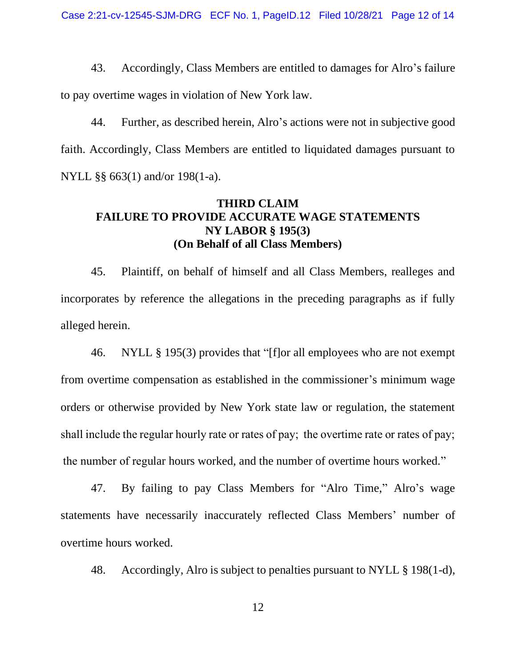43. Accordingly, Class Members are entitled to damages for Alro's failure to pay overtime wages in violation of New York law.

44. Further, as described herein, Alro's actions were not in subjective good faith. Accordingly, Class Members are entitled to liquidated damages pursuant to NYLL §§ 663(1) and/or 198(1-a).

# **THIRD CLAIM FAILURE TO PROVIDE ACCURATE WAGE STATEMENTS NY LABOR § 195(3) (On Behalf of all Class Members)**

45. Plaintiff, on behalf of himself and all Class Members, realleges and incorporates by reference the allegations in the preceding paragraphs as if fully alleged herein.

46. NYLL § 195(3) provides that "[f]or all employees who are not exempt from overtime compensation as established in the commissioner's minimum wage orders or otherwise provided by New York state law or regulation, the statement shall include the regular hourly rate or rates of pay;  the overtime rate or rates of pay;  the number of regular hours worked, and the number of overtime hours worked."

47. By failing to pay Class Members for "Alro Time," Alro's wage statements have necessarily inaccurately reflected Class Members' number of overtime hours worked.

48. Accordingly, Alro is subject to penalties pursuant to NYLL § 198(1-d),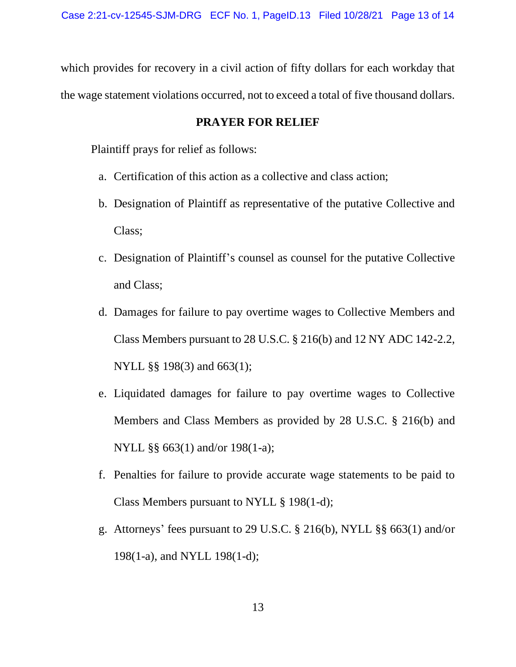which provides for recovery in a civil action of fifty dollars for each workday that the wage statement violations occurred, not to exceed a total of five thousand dollars.

## **PRAYER FOR RELIEF**

Plaintiff prays for relief as follows:

- a. Certification of this action as a collective and class action;
- b. Designation of Plaintiff as representative of the putative Collective and Class;
- c. Designation of Plaintiff's counsel as counsel for the putative Collective and Class;
- d. Damages for failure to pay overtime wages to Collective Members and Class Members pursuant to 28 U.S.C. § 216(b) and 12 NY ADC 142-2.2, NYLL §§ 198(3) and 663(1);
- e. Liquidated damages for failure to pay overtime wages to Collective Members and Class Members as provided by 28 U.S.C. § 216(b) and NYLL §§ 663(1) and/or 198(1-a);
- f. Penalties for failure to provide accurate wage statements to be paid to Class Members pursuant to NYLL § 198(1-d);
- g. Attorneys' fees pursuant to 29 U.S.C. § 216(b), NYLL §§ 663(1) and/or 198(1-a), and NYLL 198(1-d);